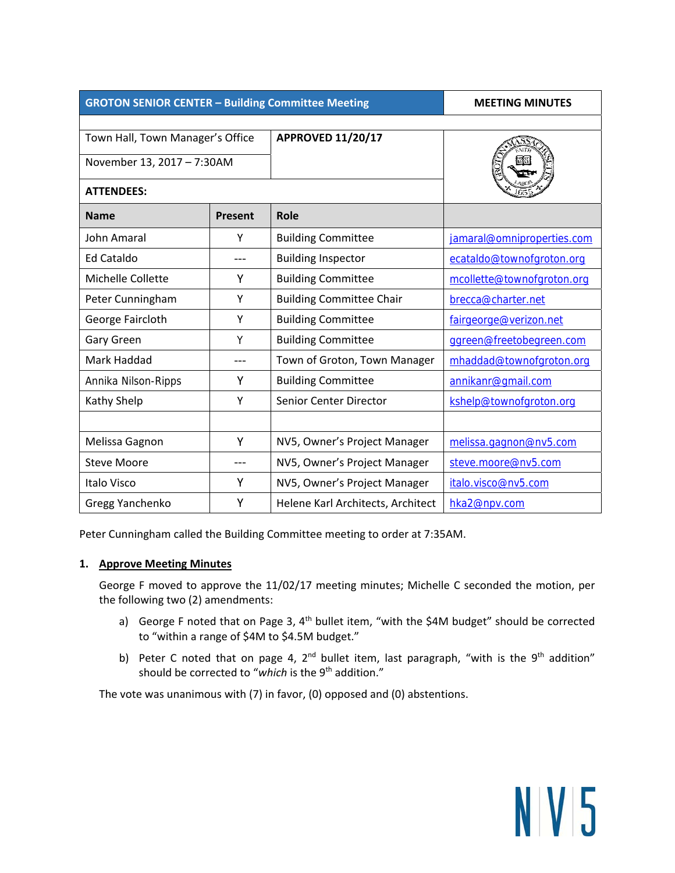| <b>GROTON SENIOR CENTER - Building Committee Meeting</b>       | <b>MEETING MINUTES</b> |                                   |                            |
|----------------------------------------------------------------|------------------------|-----------------------------------|----------------------------|
| Town Hall, Town Manager's Office<br>November 13, 2017 - 7:30AM |                        | <b>APPROVED 11/20/17</b>          |                            |
| <b>ATTENDEES:</b>                                              |                        |                                   |                            |
| <b>Name</b>                                                    | <b>Present</b>         | Role                              |                            |
| John Amaral                                                    | Υ                      | <b>Building Committee</b>         | jamaral@omniproperties.com |
| Ed Cataldo                                                     |                        | <b>Building Inspector</b>         | ecataldo@townofgroton.org  |
| Michelle Collette                                              | Υ                      | <b>Building Committee</b>         | mcollette@townofgroton.org |
| Peter Cunningham                                               | Υ                      | <b>Building Committee Chair</b>   | brecca@charter.net         |
| George Faircloth                                               | Υ                      | <b>Building Committee</b>         | fairgeorge@verizon.net     |
| Gary Green                                                     | Υ                      | <b>Building Committee</b>         | ggreen@freetobegreen.com   |
| Mark Haddad                                                    |                        | Town of Groton, Town Manager      | mhaddad@townofgroton.org   |
| Annika Nilson-Ripps                                            | Υ                      | <b>Building Committee</b>         | annikanr@gmail.com         |
| Kathy Shelp                                                    | Υ                      | <b>Senior Center Director</b>     | kshelp@townofgroton.org    |
|                                                                |                        |                                   |                            |
| Melissa Gagnon                                                 | Y                      | NV5, Owner's Project Manager      | melissa.gagnon@nv5.com     |
| <b>Steve Moore</b>                                             |                        | NV5, Owner's Project Manager      | steve.moore@nv5.com        |
| Italo Visco                                                    | Υ                      | NV5, Owner's Project Manager      | italo.visco@nv5.com        |
| Gregg Yanchenko                                                | Υ                      | Helene Karl Architects, Architect | hka2@npv.com               |

Peter Cunningham called the Building Committee meeting to order at 7:35AM.

## **1. Approve Meeting Minutes**

George F moved to approve the 11/02/17 meeting minutes; Michelle C seconded the motion, per the following two (2) amendments:

- a) George F noted that on Page 3, 4<sup>th</sup> bullet item, "with the \$4M budget" should be corrected to "within a range of \$4M to \$4.5M budget."
- b) Peter C noted that on page 4,  $2^{nd}$  bullet item, last paragraph, "with is the 9<sup>th</sup> addition" should be corrected to "which is the 9<sup>th</sup> addition."

NV5

The vote was unanimous with (7) in favor, (0) opposed and (0) abstentions.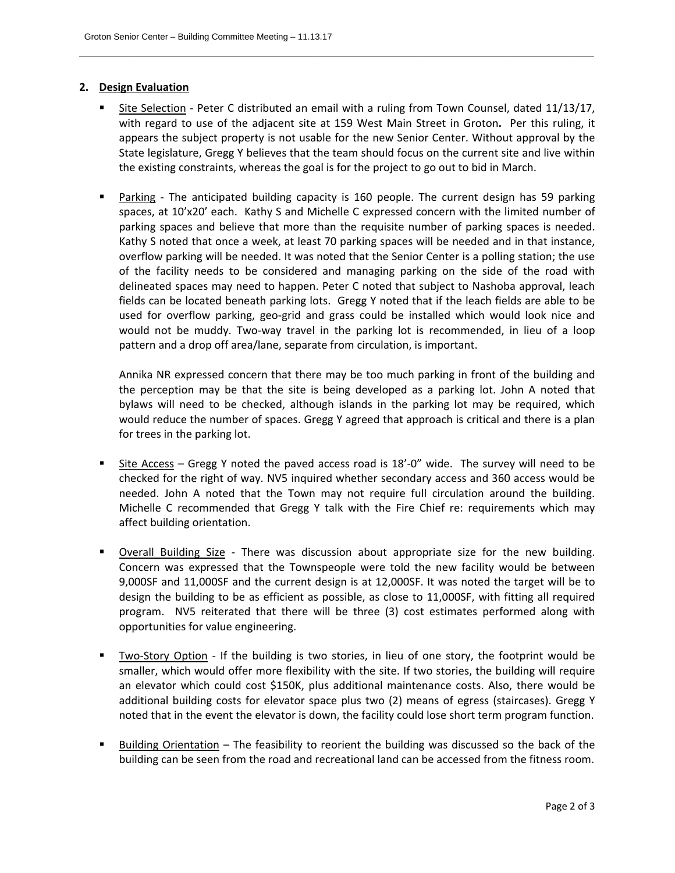## **2. Design Evaluation**

Site Selection - Peter C distributed an email with a ruling from Town Counsel, dated 11/13/17, with regard to use of the adjacent site at 159 West Main Street in Groton. Per this ruling, it appears the subject property is not usable for the new Senior Center. Without approval by the State legislature, Gregg Y believes that the team should focus on the current site and live within the existing constraints, whereas the goal is for the project to go out to bid in March.

\_\_\_\_\_\_\_\_\_\_\_\_\_\_\_\_\_\_\_\_\_\_\_\_\_\_\_\_\_\_\_\_\_\_\_\_\_\_\_\_\_\_\_\_\_\_\_\_\_\_\_\_\_\_\_\_\_\_\_\_\_\_\_\_\_\_\_\_\_\_\_\_\_\_\_\_\_\_\_\_\_\_\_\_\_\_\_\_\_\_\_\_\_\_\_\_\_\_\_\_\_\_\_\_\_

■ Parking - The anticipated building capacity is 160 people. The current design has 59 parking spaces, at 10'x20' each. Kathy S and Michelle C expressed concern with the limited number of parking spaces and believe that more than the requisite number of parking spaces is needed. Kathy S noted that once a week, at least 70 parking spaces will be needed and in that instance, overflow parking will be needed. It was noted that the Senior Center is a polling station; the use of the facility needs to be considered and managing parking on the side of the road with delineated spaces may need to happen. Peter C noted that subject to Nashoba approval, leach fields can be located beneath parking lots. Gregg Y noted that if the leach fields are able to be used for overflow parking, geo-grid and grass could be installed which would look nice and would not be muddy. Two-way travel in the parking lot is recommended, in lieu of a loop pattern and a drop off area/lane, separate from circulation, is important.

Annika NR expressed concern that there may be too much parking in front of the building and the perception may be that the site is being developed as a parking lot. John A noted that bylaws will need to be checked, although islands in the parking lot may be required, which would reduce the number of spaces. Gregg Y agreed that approach is critical and there is a plan for trees in the parking lot.

- Site Access Gregg Y noted the paved access road is 18'‐0" wide. The survey will need to be checked for the right of way. NV5 inquired whether secondary access and 360 access would be needed. John A noted that the Town may not require full circulation around the building. Michelle C recommended that Gregg Y talk with the Fire Chief re: requirements which may affect building orientation.
- Overall Building Size There was discussion about appropriate size for the new building. Concern was expressed that the Townspeople were told the new facility would be between 9,000SF and 11,000SF and the current design is at 12,000SF. It was noted the target will be to design the building to be as efficient as possible, as close to 11,000SF, with fitting all required program. NV5 reiterated that there will be three (3) cost estimates performed along with opportunities for value engineering.
- Two‐Story Option ‐ If the building is two stories, in lieu of one story, the footprint would be smaller, which would offer more flexibility with the site. If two stories, the building will require an elevator which could cost \$150K, plus additional maintenance costs. Also, there would be additional building costs for elevator space plus two (2) means of egress (staircases). Gregg Y noted that in the event the elevator is down, the facility could lose short term program function.
- Building Orientation The feasibility to reorient the building was discussed so the back of the building can be seen from the road and recreational land can be accessed from the fitness room.